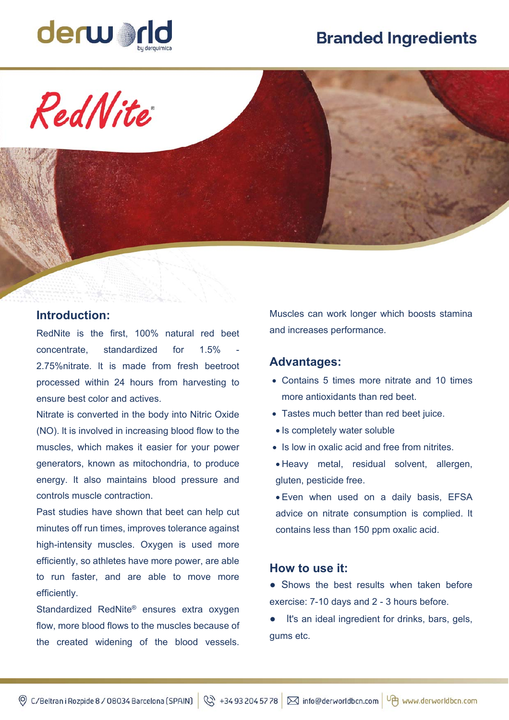# **Branded Ingredients**



RedNite

# **Introduction:**

RedNite is the first, 100% natural red beet  $concentrate$ , standardized for  $1.5\%$ 2.75%nitrate. lt is made from fresh beetroot processed within 24 hours from harvesting to ensure best color and actives.

Nitrate is converted in the body into Nitric Oxide (NO). lt is involved in increasing blood flow to the muscles, which makes it easier for your power generators, known as mitochondria, to produce energy. lt also maintains blood pressure and controls muscle contraction.

Past studies have shown that beet can help cut minutes off run times, improves tolerance against high-intensity muscles. Oxygen is used more efficiently, so athletes have more power, are able to run faster, and are able to move more efficiently.

Standardized RedNite® ensures extra oxygen flow, more blood flows to the muscles because of the created widening of the blood vessels.

Muscles can work longer which boosts stamina and increases performance.

#### **Advantages:**

- Contains 5 times more nitrate and 10 times more antioxidants than red beet.
- Tastes much better than red beet juice.
- Is completely water soluble
- Is low in oxalic acid and free from nitrites.
- Heavy metal, residual solvent, allergen, gluten, pesticide free.
- Even when used on a daily basis, EFSA advice on nitrate consumption is complied. lt contains less than 150 ppm oxalic acid.

## **How to use it:**

• Shows the best results when taken before exercise: 7-10 days and 2 - 3 hours before.

It's an ideal ingredient for drinks, bars, gels, gums etc.